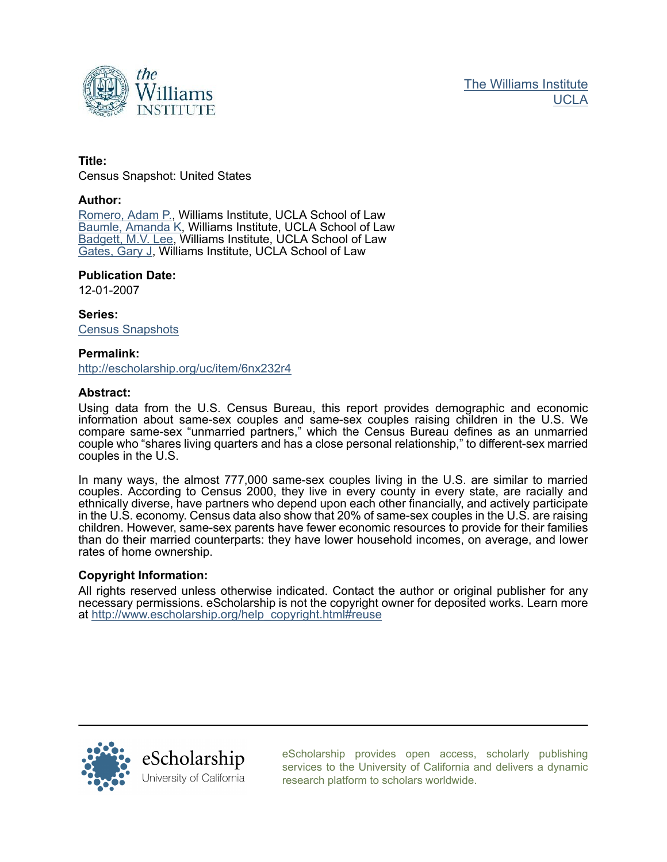

### **Title:**

Census Snapshot: United States

#### **Author:**

[Romero, Adam P.,](http://escholarship.org/uc/search?creator=Romero%2C%20Adam%20P.) Williams Institute, UCLA School of Law [Baumle, Amanda K,](http://escholarship.org/uc/search?creator=Baumle%2C%20Amanda%20K) Williams Institute, UCLA School of Law [Badgett, M.V. Lee,](http://escholarship.org/uc/search?creator=Badgett%2C%20M.V.%20Lee) Williams Institute, UCLA School of Law [Gates, Gary J,](http://escholarship.org/uc/search?creator=Gates%2C%20Gary%20J) Williams Institute, UCLA School of Law

### **Publication Date:**

12-01-2007

**Series:** [Census Snapshots](http://escholarship.org/uc/uclalaw_williams_census)

#### **Permalink:**

<http://escholarship.org/uc/item/6nx232r4>

#### **Abstract:**

Using data from the U.S. Census Bureau, this report provides demographic and economic information about same-sex couples and same-sex couples raising children in the U.S. We compare same-sex "unmarried partners," which the Census Bureau defines as an unmarried couple who "shares living quarters and has a close personal relationship," to different-sex married couples in the U.S.

In many ways, the almost 777,000 same-sex couples living in the U.S. are similar to married couples. According to Census 2000, they live in every county in every state, are racially and ethnically diverse, have partners who depend upon each other financially, and actively participate in the U.S. economy. Census data also show that 20% of same-sex couples in the U.S. are raising children. However, same-sex parents have fewer economic resources to provide for their families than do their married counterparts: they have lower household incomes, on average, and lower rates of home ownership.

#### **Copyright Information:**

All rights reserved unless otherwise indicated. Contact the author or original publisher for any necessary permissions. eScholarship is not the copyright owner for deposited works. Learn more at [http://www.escholarship.org/help\\_copyright.html#reuse](http://www.escholarship.org/help_copyright.html#reuse)



[eScholarship provides open access, scholarly publishing](http://escholarship.org) [services to the University of California and delivers a dynamic](http://escholarship.org) [research platform to scholars worldwide.](http://escholarship.org)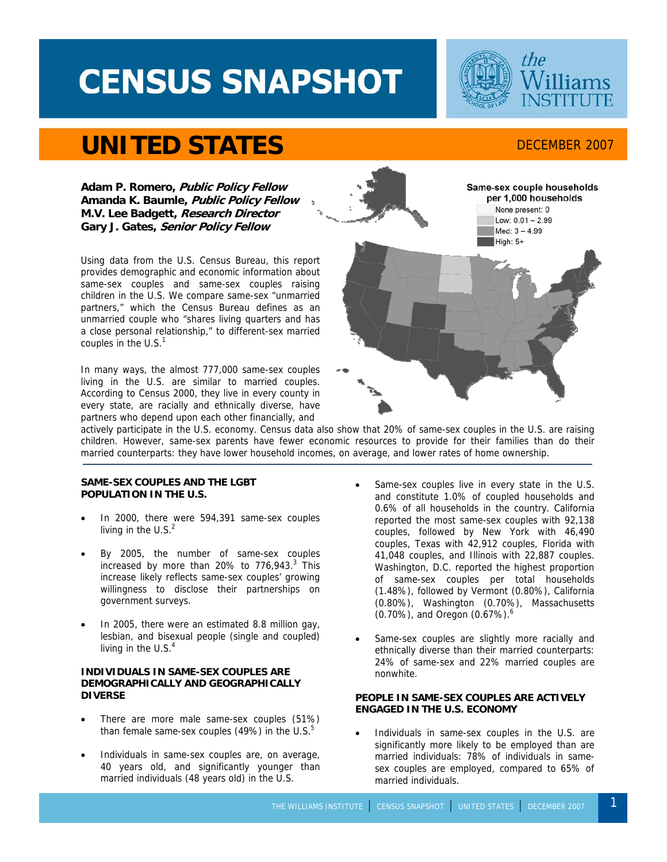# **CENSUS SNAPSHOT**



## **UNITED STATES** DECEMBER 2007

**Adam P. Romero, Public Policy Fellow Amanda K. Baumle, Public Policy Fellow M.V. Lee Badgett, Research Director Gary J. Gates, Senior Policy Fellow** 

Using data from the U.S. Census Bureau, this report provides demographic and economic information about same-sex couples and same-sex couples raising children in the U.S. We compare same-sex "unmarried partners," which the Census Bureau defines as an unmarried couple who "shares living quarters and has a close personal relationship," to different-sex married couples in the  $U.S.<sup>1</sup>$ 

In many ways, the almost 777,000 same-sex couples living in the U.S. are similar to married couples. According to Census 2000, they live in every county in every state, are racially and ethnically diverse, have partners who depend upon each other financially, and



actively participate in the U.S. economy. Census data also show that 20% of same-sex couples in the U.S. are raising children. However, same-sex parents have fewer economic resources to provide for their families than do their married counterparts: they have lower household incomes, on average, and lower rates of home ownership.

#### **SAME-SEX COUPLES AND THE LGBT POPULATION IN THE U.S.**

- In 2000, there were 594,391 same-sex couples living in the U.S. $2$
- By 2005, the number of same-sex couples increased by more than 20% to  $776,943.^3$  This increase likely reflects same-sex couples' growing willingness to disclose their partnerships on government surveys.
- In 2005, there were an estimated 8.8 million gay, lesbian, and bisexual people (single and coupled) living in the  $U.S.^4$

#### **INDIVIDUALS IN SAME-SEX COUPLES ARE DEMOGRAPHICALLY AND GEOGRAPHICALLY DIVERSE**

- There are more male same-sex couples (51%) than female same-sex couples (49%) in the U.S. $5$
- Individuals in same-sex couples are, on average, 40 years old, and significantly younger than married individuals (48 years old) in the U.S.
- Same-sex couples live in every state in the U.S. and constitute 1.0% of coupled households and 0.6% of all households in the country. California reported the most same-sex couples with 92,138 couples, followed by New York with 46,490 couples, Texas with 42,912 couples, Florida with 41,048 couples, and Illinois with 22,887 couples. Washington, D.C. reported the highest proportion of same-sex couples per total households (1.48%), followed by Vermont (0.80%), California (0.80%), Washington (0.70%), Massachusetts (0.70%), and Oregon (0.67%).6
- Same-sex couples are slightly more racially and ethnically diverse than their married counterparts: 24% of same-sex and 22% married couples are nonwhite.

#### **PEOPLE IN SAME-SEX COUPLES ARE ACTIVELY ENGAGED IN THE U.S. ECONOMY**

Individuals in same-sex couples in the U.S. are significantly more likely to be employed than are married individuals: 78% of individuals in samesex couples are employed, compared to 65% of married individuals.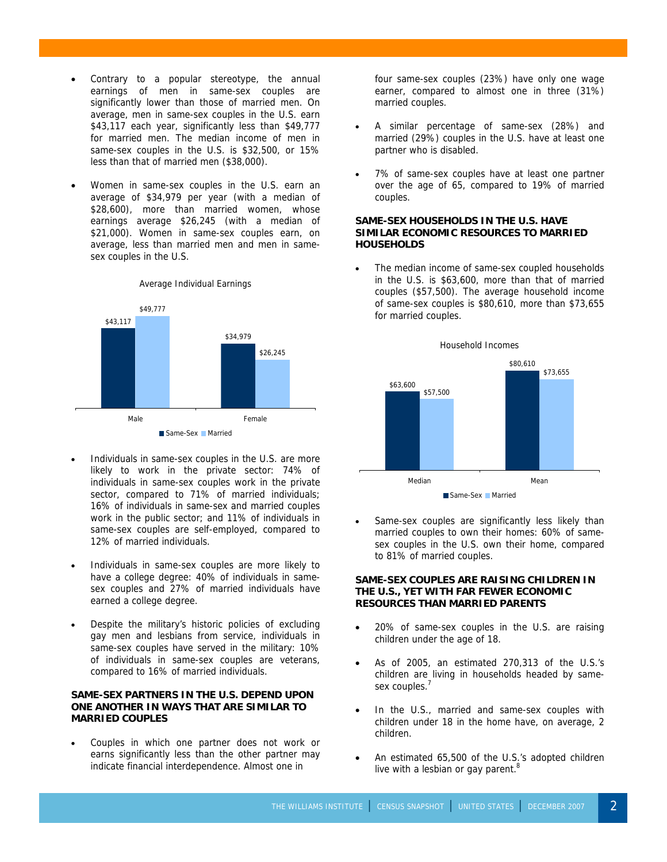Contrary to a popular stereotype, the annual earnings of men in same-sex couples are significantly lower than those of married men. On average, men in same-sex couples in the U.S. earn \$43,117 each year, significantly less than \$49,777 for married men. The median income of men in same-sex couples in the U.S. is \$32,500, or 15% less than that of married men (\$38,000).

3

• Women in same-sex couples in the U.S. earn an average of \$34,979 per year (with a median of \$28,600), more than married women, whose earnings average \$26,245 (with a median of \$21,000). Women in same-sex couples earn, on average, less than married men and men in samesex couples in the U.S.



Average Individual Earnings

- Individuals in same-sex couples in the U.S. are more likely to work in the private sector: 74% of individuals in same-sex couples work in the private sector, compared to 71% of married individuals; 16% of individuals in same-sex and married couples work in the public sector; and 11% of individuals in same-sex couples are self-employed, compared to 12% of married individuals.
- Individuals in same-sex couples are more likely to have a college degree: 40% of individuals in samesex couples and 27% of married individuals have earned a college degree.
- Despite the military's historic policies of excluding gay men and lesbians from service, individuals in same-sex couples have served in the military: 10% of individuals in same-sex couples are veterans, compared to 16% of married individuals.

#### **SAME-SEX PARTNERS IN THE U.S. DEPEND UPON ONE ANOTHER IN WAYS THAT ARE SIMILAR TO MARRIED COUPLES**

Couples in which one partner does not work or earns significantly less than the other partner may indicate financial interdependence. Almost one in

four same-sex couples (23%) have only one wage earner, compared to almost one in three (31%) married couples.

- A similar percentage of same-sex (28%) and married (29%) couples in the U.S. have at least one partner who is disabled.
- 7% of same-sex couples have at least one partner over the age of 65, compared to 19% of married couples.

#### **SAME-SEX HOUSEHOLDS IN THE U.S. HAVE SIMILAR ECONOMIC RESOURCES TO MARRIED HOUSEHOLDS**

The median income of same-sex coupled households in the U.S. is \$63,600, more than that of married couples (\$57,500). The average household income of same-sex couples is \$80,610, more than \$73,655 for married couples.



Same-sex couples are significantly less likely than married couples to own their homes: 60% of samesex couples in the U.S. own their home, compared to 81% of married couples.

#### **SAME-SEX COUPLES ARE RAISING CHILDREN IN THE U.S., YET WITH FAR FEWER ECONOMIC RESOURCES THAN MARRIED PARENTS**

- 20% of same-sex couples in the U.S. are raising children under the age of 18.
- As of 2005, an estimated 270,313 of the U.S.'s children are living in households headed by samesex couples.<sup>7</sup>
- In the U.S., married and same-sex couples with children under 18 in the home have, on average, 2 children.
- An estimated 65,500 of the U.S.'s adopted children live with a lesbian or gay parent.<sup>8</sup>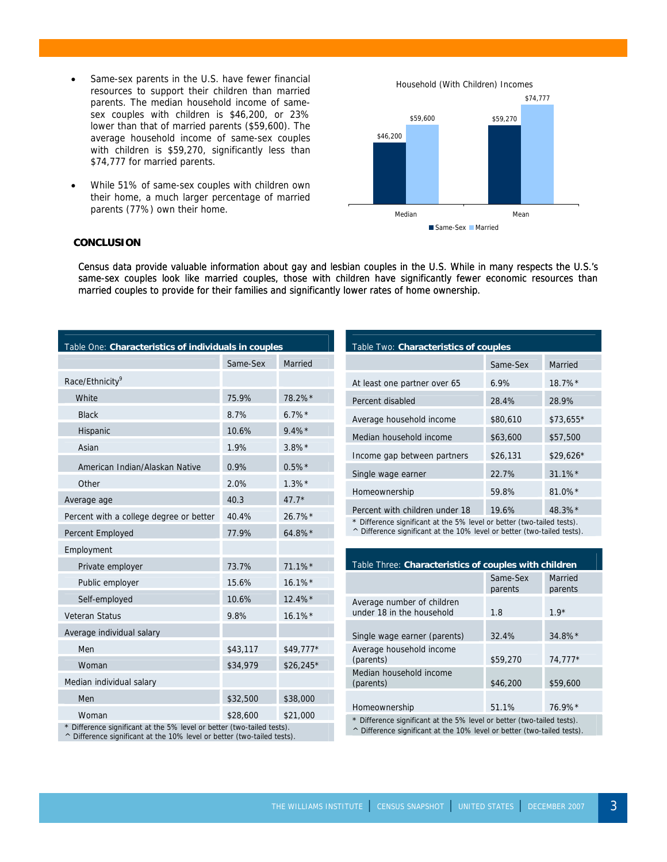- Same-sex parents in the U.S. have fewer financial resources to support their children than married parents. The median household income of samesex couples with children is \$46,200, or 23% lower than that of married parents (\$59,600). The average household income of same-sex couples with children is \$59,270, significantly less than \$74,777 for married parents.
- While 51% of same-sex couples with children own their home, a much larger percentage of married parents (77%) own their home.





#### **CONCLUSION**

3

Census data provide valuable information about gay and lesbian couples in the U.S. While in many respects the U.S.'s same-sex couples look like married couples, those with children have significantly fewer economic resources than married couples to provide for their families and significantly lower rates of home ownership.

| Table One: Characteristics of individuals in couples                   |          |            |  |
|------------------------------------------------------------------------|----------|------------|--|
|                                                                        | Same-Sex | Married    |  |
| Race/Ethnicity <sup>9</sup>                                            |          |            |  |
| White                                                                  | 75.9%    | 78.2%*     |  |
| <b>Black</b>                                                           | 8.7%     | $6.7\%$ *  |  |
| Hispanic                                                               | 10.6%    | $9.4\%$ *  |  |
| Asian                                                                  | 1.9%     | $3.8\%$ *  |  |
| American Indian/Alaskan Native                                         | 0.9%     | $0.5\%$ *  |  |
| Other                                                                  | 2.0%     | $1.3\%$ *  |  |
| Average age                                                            | 40.3     | $47.7*$    |  |
| Percent with a college degree or better                                | 40.4%    | 26.7%*     |  |
| Percent Employed                                                       | 77.9%    | 64.8%*     |  |
| Employment                                                             |          |            |  |
| Private employer                                                       | 73.7%    | 71.1%      |  |
| Public employer                                                        | 15.6%    | $16.1\%$ * |  |
| Self-employed                                                          | 10.6%    | 12.4%*     |  |
| <b>Veteran Status</b>                                                  | 9.8%     | $16.1\%$ * |  |
| Average individual salary                                              |          |            |  |
| Men                                                                    | \$43,117 | \$49,777*  |  |
| Woman                                                                  | \$34,979 | $$26,245*$ |  |
| Median individual salary                                               |          |            |  |
| Men                                                                    | \$32,500 | \$38,000   |  |
| Woman                                                                  | \$28,600 | \$21,000   |  |
| * Difference significant at the 5% level or better (two-tailed tests). |          |            |  |

Table Two: **Characteristics of couples**

|                                | Same-Sex | Married               |
|--------------------------------|----------|-----------------------|
| At least one partner over 65   | 6.9%     | $18.7\%$ <sup>*</sup> |
| Percent disabled               | 28.4%    | 28.9%                 |
| Average household income       | \$80,610 | \$73,655*             |
| Median household income        | \$63,600 | \$57,500              |
| Income gap between partners    | \$26,131 | $$29,626*$            |
| Single wage earner             | 22.7%    | $31.1\%$ <sup>*</sup> |
| Homeownership                  | 59.8%    | $81.0\%$ *            |
| Percent with children under 18 | 19.6%    | $48.3\%$ <sup>*</sup> |

\* Difference significant at the 5% level or better (two-tailed tests).

^ Difference significant at the 10% level or better (two-tailed tests).

| Table Three: Characteristics of couples with children                                                                                           |                     |                    |  |
|-------------------------------------------------------------------------------------------------------------------------------------------------|---------------------|--------------------|--|
|                                                                                                                                                 | Same-Sex<br>parents | Married<br>parents |  |
| Average number of children<br>under 18 in the household                                                                                         | 1.8                 | $1.9*$             |  |
| Single wage earner (parents)                                                                                                                    | 32.4%               | $34.8\%$ *         |  |
| Average household income<br>(parents)                                                                                                           | \$59,270            | $74.777*$          |  |
| Median household income<br>(parents)                                                                                                            | \$46,200            | \$59,600           |  |
| Homeownership<br>$\mathbf{r}$ , and $\mathbf{r}$ , and $\mathbf{r}$ , and $\mathbf{r}$ , and $\mathbf{r}$ , and $\mathbf{r}$ , and $\mathbf{r}$ | 51.1%               | $76.9\%$ *         |  |

Difference significant at the 5% level or better (two-tailed tests).

^ Difference significant at the 10% level or better (two-tailed tests).

^ Difference significant at the 10% level or better (two-tailed tests).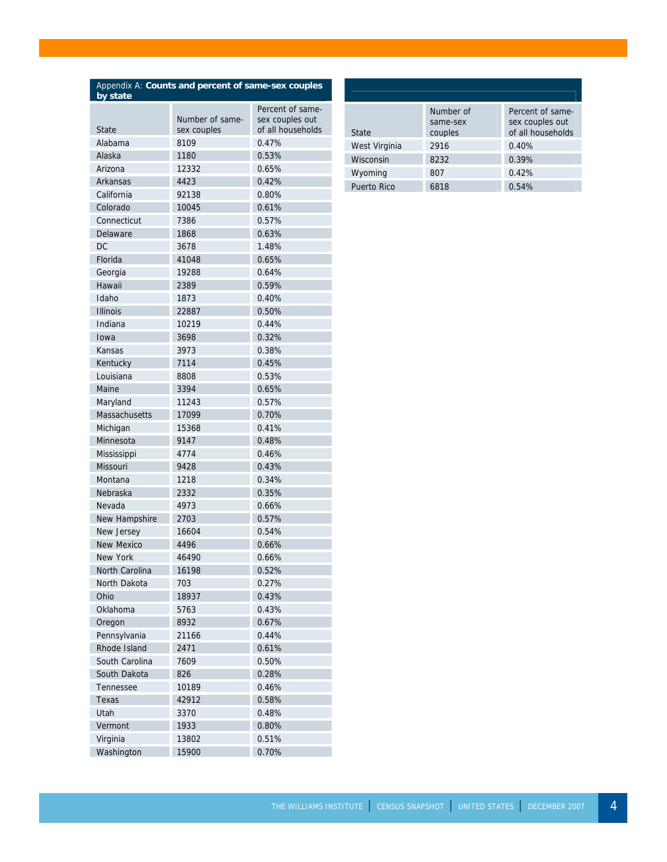| Appendix A: Counts and percent of same-sex couples<br>by state |                 |                   |  |
|----------------------------------------------------------------|-----------------|-------------------|--|
|                                                                |                 | Percent of same-  |  |
|                                                                | Number of same- | sex couples out   |  |
| State                                                          | sex couples     | of all households |  |
| Alabama                                                        | 8109            | 0.47%             |  |
| Alaska                                                         | 1180            | 0.53%             |  |
| Arizona                                                        | 12332           | 0.65%             |  |
| Arkansas                                                       | 4423            | 0.42%             |  |
| California                                                     | 92138           | 0.80%             |  |
| Colorado                                                       | 10045           | 0.61%             |  |
| Connecticut                                                    | 7386            | 0.57%             |  |
| Delaware                                                       | 1868            | 0.63%             |  |
| <b>DC</b>                                                      | 3678            | 1.48%             |  |
| Florida                                                        | 41048           | 0.65%             |  |
| Georgia                                                        | 19288           | 0.64%             |  |
| Hawaii                                                         | 2389            | 0.59%             |  |
| Idaho                                                          | 1873            | 0.40%             |  |
| <b>Illinois</b>                                                | 22887           | 0.50%             |  |
| Indiana                                                        | 10219           | 0.44%             |  |
| Iowa                                                           | 3698            | 0.32%             |  |
| Kansas                                                         | 3973            | 0.38%             |  |
| Kentucky                                                       | 7114            | 0.45%             |  |
| Louisiana                                                      | 8808            | 0.53%             |  |
| Maine                                                          | 3394            | 0.65%             |  |
| Maryland                                                       | 11243           | 0.57%             |  |
| Massachusetts                                                  | 17099           | 0.70%             |  |
| Michigan                                                       | 15368           | 0.41%             |  |
| Minnesota                                                      | 9147            | 0.48%             |  |
| Mississippi                                                    | 4774            | 0.46%             |  |
| <b>Missouri</b>                                                | 9428            | 0.43%             |  |
| Montana                                                        | 1218            | 0.34%             |  |
| Nebraska                                                       | 2332            | 0.35%             |  |
| Nevada                                                         | 4973            | 0.66%             |  |
| New Hampshire                                                  | 2703            | 0.57%             |  |
| New Jersey                                                     | 16604           | 0.54%             |  |
| New Mexico                                                     | 4496            | 0.66%             |  |
| New York                                                       | 46490           | 0.66%             |  |
| North Carolina                                                 | 16198           | 0.52%             |  |
| North Dakota                                                   | 703             | 0.27%             |  |
| Ohio                                                           | 18937           | 0.43%             |  |
| Oklahoma                                                       | 5763            | 0.43%             |  |
| Oregon                                                         | 8932            | 0.67%             |  |
| Pennsylvania                                                   | 21166           | 0.44%             |  |
| Rhode Island                                                   | 2471            | 0.61%             |  |
| South Carolina                                                 | 7609            | 0.50%             |  |
| South Dakota                                                   | 826             | 0.28%             |  |
| Tennessee                                                      | 10189           | 0.46%             |  |
| Texas                                                          | 42912           | 0.58%             |  |
| Utah                                                           | 3370            | 0.48%             |  |
| Vermont                                                        | 1933            | 0.80%             |  |
| Virginia                                                       | 13802           | 0.51%             |  |
| Washington                                                     | 15900           | 0.70%             |  |

3

| <b>State</b>       | Number of<br>same-sex<br>couples | Percent of same-<br>sex couples out<br>of all households |
|--------------------|----------------------------------|----------------------------------------------------------|
| West Virginia      | 2916                             | 0.40%                                                    |
| Wisconsin          | 8232                             | 0.39%                                                    |
| Wyoming            | 807                              | 0.42%                                                    |
| <b>Puerto Rico</b> | 6818                             | 0.54%                                                    |